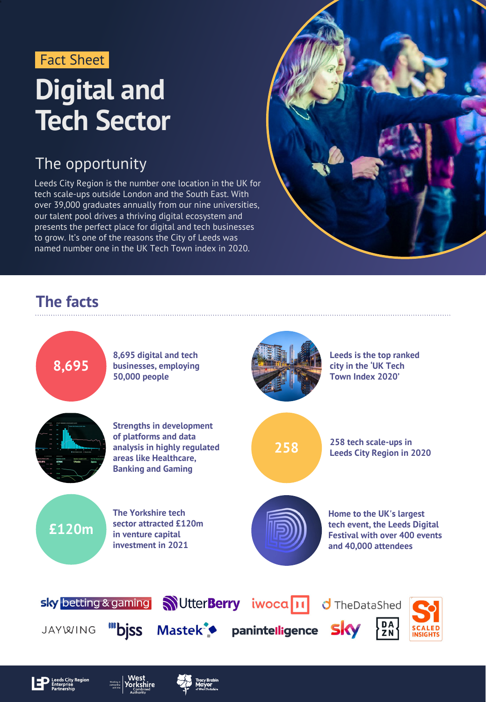

## **Digital and Tech Sector**

#### The opportunity

Leeds City Region is the number one location in the UK for tech scale-ups outside London and the South East. With over 39,000 graduates annually from our nine universities, our talent pool drives a thriving digital ecosystem and presents the perfect place for digital and tech businesses to grow. It's one of the reasons the City of Leeds was named number one in the UK Tech Town index in 2020.



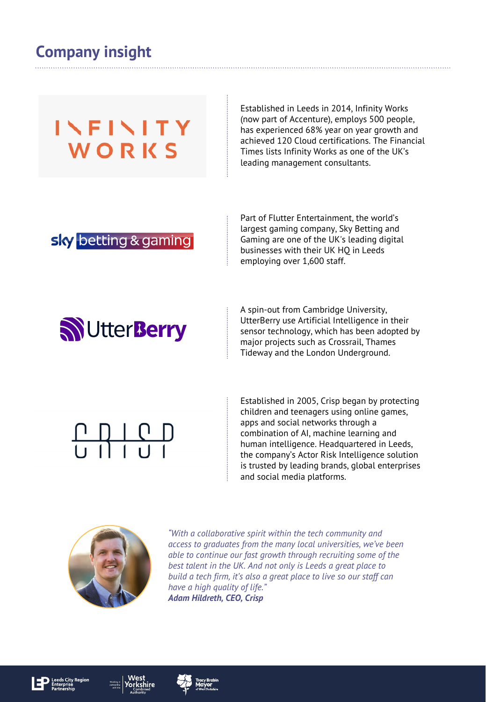#### **Company insight**

### INFINITY WORKS

Established in Leeds in 2014, Infinity Works (now part of Accenture), employs 500 people, has experienced 68% year on year growth and achieved 120 Cloud certifications. The Financial Times lists Infinity Works as one of the UK's leading management consultants.

#### sky betting & gaming

Part of Flutter Entertainment, the world's largest gaming company, Sky Betting and Gaming are one of the UK's leading digital businesses with their UK HQ in Leeds employing over 1,600 staff.

## **NUtterBerry**

A spin-out from Cambridge University, UtterBerry use Artificial Intelligence in their sensor technology, which has been adopted by major projects such as Crossrail, Thames Tideway and the London Underground.

# 

Established in 2005, Crisp began by protecting children and teenagers using online games, apps and social networks through a combination of AI, machine learning and human intelligence. Headquartered in Leeds, the company's Actor Risk Intelligence solution is trusted by leading brands, global enterprises and social media platforms.



*"With a collaborative spirit within the tech community and access to graduates from the many local universities, we've been able to continue our fast growth through recruiting some of the best talent in the UK. And not only is Leeds a great place to build a tech firm, it's also a great place to live so our staff can have a high quality of life." Adam Hildreth, CEO, Crisp*